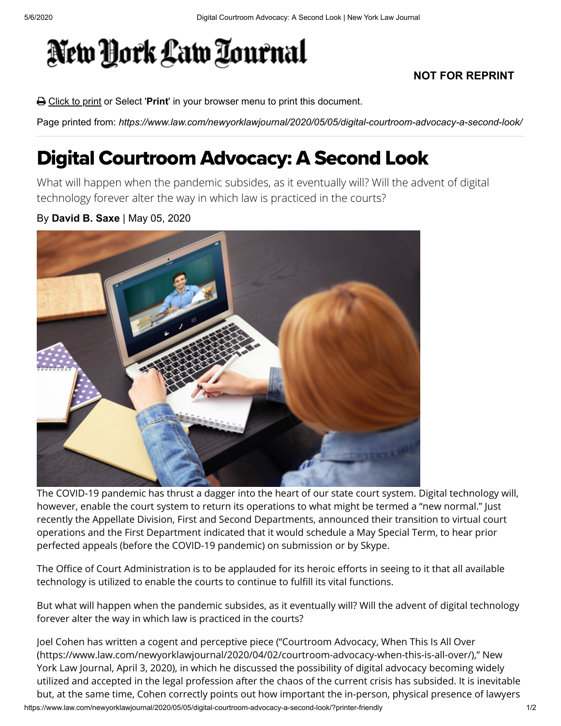## New York Law Tournal

## **NOT FOR REPRINT**

Click to print or Select '**Print**' in your browser menu to print this document.

Page printed from: *https://www.law.com/newyorklawjournal/2020/05/05/digital-courtroom-advocacy-a-second-look/*

## Digital Courtroom Advocacy: A Second Look

What will happen when the pandemic subsides, as it eventually will? Will the advent of digital technology forever alter the way in which law is practiced in the courts?

By **David B. Saxe** | May 05, 2020



The COVID-19 pandemic has thrust a dagger into the heart of our state court system. Digital technology will, however, enable the court system to return its operations to what might be termed a "new normal." Just recently the Appellate Division, First and Second Departments, announced their transition to virtual court operations and the First Department indicated that it would schedule a May Special Term, to hear prior perfected appeals (before the COVID-19 pandemic) on submission or by Skype.

The Office of Court Administration is to be applauded for its heroic efforts in seeing to it that all available technology is utilized to enable the courts to continue to fulfill its vital functions.

But what will happen when the pandemic subsides, as it eventually will? Will the advent of digital technology forever alter the way in which law is practiced in the courts?

https://www.law.com/newyorklawjournal/2020/05/05/digital-courtroom-advocacy-a-second-look/?printer-friendly 1/2 Joel Cohen has written a cogent and perceptive piece ("Courtroom Advocacy, When This Is All Over [\(https://www.law.com/newyorklawjournal/2020/04/02/courtroom-advocacy-when-this-is-all-over/\),](https://www.law.com/newyorklawjournal/2020/04/02/courtroom-advocacy-when-this-is-all-over/)" New York Law Journal, April 3, 2020), in which he discussed the possibility of digital advocacy becoming widely utilized and accepted in the legal profession after the chaos of the current crisis has subsided. It is inevitable but, at the same time, Cohen correctly points out how important the in-person, physical presence of lawyers